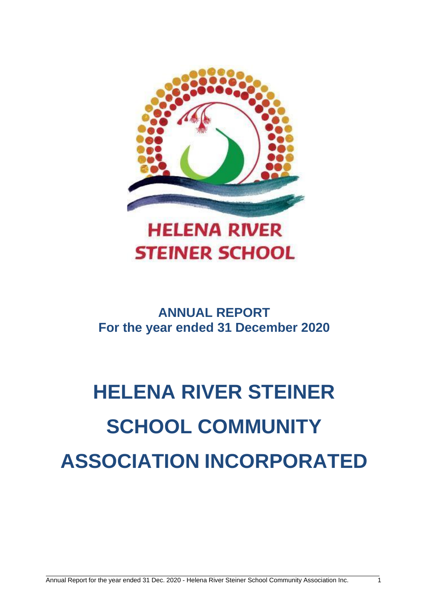

### **ANNUAL REPORT For the year ended 31 December 2020**

# **HELENA RIVER STEINER SCHOOL COMMUNITY ASSOCIATION INCORPORATED**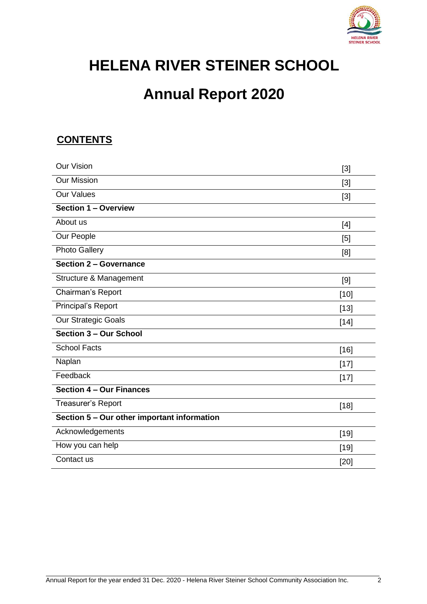

## **HELENA RIVER STEINER SCHOOL**

### **Annual Report 2020**

#### **CONTENTS**

| <b>Our Vision</b>                           | $[3]$  |
|---------------------------------------------|--------|
| <b>Our Mission</b>                          | $[3]$  |
| <b>Our Values</b>                           | [3]    |
| <b>Section 1 - Overview</b>                 |        |
| About us                                    | $[4]$  |
| Our People                                  | [5]    |
| <b>Photo Gallery</b>                        | [8]    |
| Section 2 - Governance                      |        |
| Structure & Management                      | [9]    |
| Chairman's Report                           | $[10]$ |
| Principal's Report                          | $[13]$ |
| Our Strategic Goals                         | $[14]$ |
| Section 3 - Our School                      |        |
| <b>School Facts</b>                         | $[16]$ |
| Naplan                                      | $[17]$ |
| Feedback                                    | $[17]$ |
| Section 4 - Our Finances                    |        |
| Treasurer's Report                          | $[18]$ |
| Section 5 - Our other important information |        |
| Acknowledgements                            | $[19]$ |
| How you can help                            | $[19]$ |
| Contact us                                  | [20]   |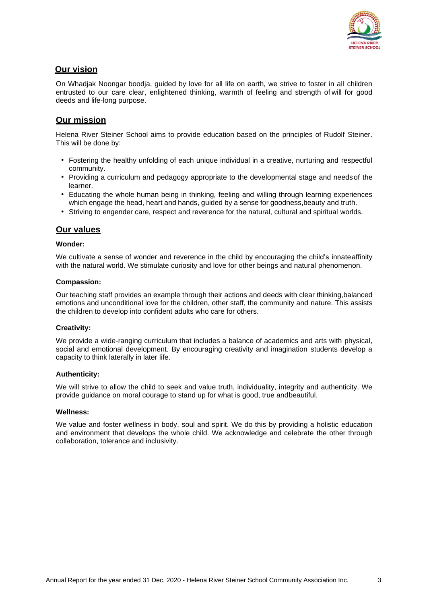

#### **Our vision**

On Whadjak Noongar boodja, guided by love for all life on earth, we strive to foster in all children entrusted to our care clear, enlightened thinking, warmth of feeling and strength of will for good deeds and life-long purpose.

#### **Our mission**

Helena River Steiner School aims to provide education based on the principles of Rudolf Steiner. This will be done by:

- Fostering the healthy unfolding of each unique individual in a creative, nurturing and respectful community.
- Providing a curriculum and pedagogy appropriate to the developmental stage and needsof the learner.
- Educating the whole human being in thinking, feeling and willing through learning experiences which engage the head, heart and hands, guided by a sense for goodness,beauty and truth.
- Striving to engender care, respect and reverence for the natural, cultural and spiritual worlds.

#### **Our values**

#### **Wonder:**

We cultivate a sense of wonder and reverence in the child by encouraging the child's innateaffinity with the natural world. We stimulate curiosity and love for other beings and natural phenomenon.

#### **Compassion:**

Our teaching staff provides an example through their actions and deeds with clear thinking,balanced emotions and unconditional love for the children, other staff, the community and nature. This assists the children to develop into confident adults who care for others.

#### **Creativity:**

We provide a wide-ranging curriculum that includes a balance of academics and arts with physical, social and emotional development. By encouraging creativity and imagination students develop a capacity to think laterally in later life.

#### **Authenticity:**

We will strive to allow the child to seek and value truth, individuality, integrity and authenticity. We provide guidance on moral courage to stand up for what is good, true andbeautiful.

#### **Wellness:**

We value and foster wellness in body, soul and spirit. We do this by providing a holistic education and environment that develops the whole child. We acknowledge and celebrate the other through collaboration, tolerance and inclusivity.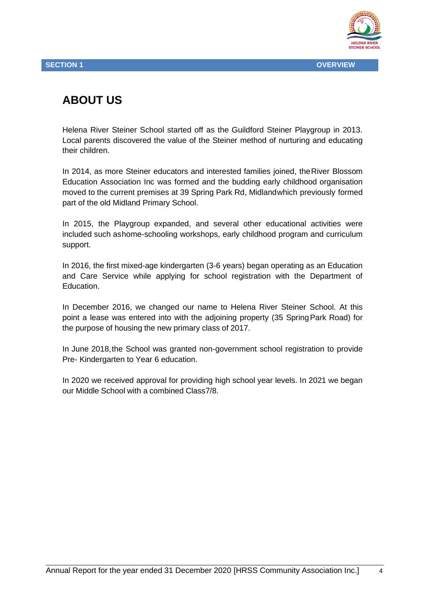

### **ABOUT US**

Helena River Steiner School started off as the Guildford Steiner Playgroup in 2013. Local parents discovered the value of the Steiner method of nurturing and educating their children.

In 2014, as more Steiner educators and interested families joined, theRiver Blossom Education Association Inc was formed and the budding early childhood organisation moved to the current premises at 39 Spring Park Rd, Midlandwhich previously formed part of the old Midland Primary School.

In 2015, the Playgroup expanded, and several other educational activities were included such ashome-schooling workshops, early childhood program and curriculum support.

In 2016, the first mixed-age kindergarten (3-6 years) began operating as an Education and Care Service while applying for school registration with the Department of Education.

In December 2016, we changed our name to Helena River Steiner School. At this point a lease was entered into with the adjoining property (35 SpringPark Road) for the purpose of housing the new primary class of 2017.

In June 2018,the School was granted non-government school registration to provide Pre- Kindergarten to Year 6 education.

In 2020 we received approval for providing high school year levels. In 2021 we began our Middle School with a combined Class7/8.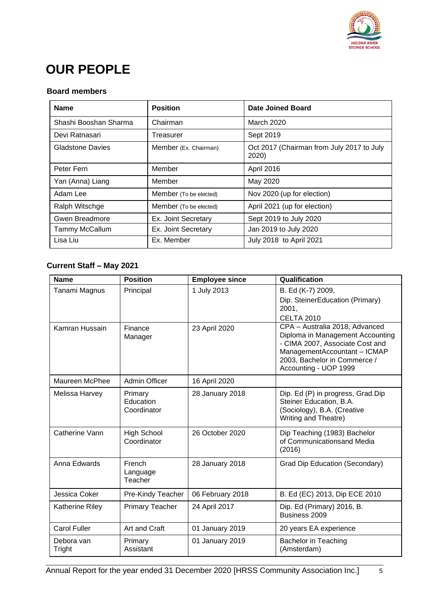

### **OUR PEOPLE**

#### **Board members**

| <b>Name</b>           | <b>Position</b>        | Date Joined Board                                  |
|-----------------------|------------------------|----------------------------------------------------|
| Shashi Booshan Sharma | Chairman               | March 2020                                         |
| Devi Ratnasari        | Treasurer              | Sept 2019                                          |
| Gladstone Davies      | Member (Ex. Chairman)  | Oct 2017 (Chairman from July 2017 to July<br>2020) |
| Peter Fern            | Member                 | April 2016                                         |
| Yan (Anna) Liang      | Member                 | May 2020                                           |
| Adam Lee              | Member (To be elected) | Nov 2020 (up for election)                         |
| Ralph Witschge        | Member (To be elected) | April 2021 (up for election)                       |
| <b>Gwen Breadmore</b> | Ex. Joint Secretary    | Sept 2019 to July 2020                             |
| Tammy McCallum        | Ex. Joint Secretary    | Jan 2019 to July 2020                              |
| Lisa Liu              | Ex. Member             | July 2018 to April 2021                            |

#### **Current Staff – May 2021**

| <b>Name</b>          | <b>Position</b>                     | <b>Employee since</b> | Qualification                                                                                                                                                                                  |
|----------------------|-------------------------------------|-----------------------|------------------------------------------------------------------------------------------------------------------------------------------------------------------------------------------------|
| Tanami Magnus        | Principal                           | 1 July 2013           | B. Ed (K-7) 2009,<br>Dip. SteinerEducation (Primary)<br>2001,<br><b>CELTA 2010</b>                                                                                                             |
| Kamran Hussain       | Finance<br>Manager                  | 23 April 2020         | CPA - Australia 2018, Advanced<br>Diploma in Management Accounting<br>- CIMA 2007, Associate Cost and<br>ManagementAccountant - ICMAP<br>2003, Bachelor in Commerce /<br>Accounting - UOP 1999 |
| Maureen McPhee       | <b>Admin Officer</b>                | 16 April 2020         |                                                                                                                                                                                                |
| Melissa Harvey       | Primary<br>Education<br>Coordinator | 28 January 2018       | Dip. Ed (P) in progress, Grad.Dip<br>Steiner Education, B.A.<br>(Sociology), B.A. (Creative<br>Writing and Theatre)                                                                            |
| Catherine Vann       | <b>High School</b><br>Coordinator   | 26 October 2020       | Dip Teaching (1983) Bachelor<br>of Communicationsand Media<br>(2016)                                                                                                                           |
| Anna Edwards         | French<br>Language<br>Teacher       | 28 January 2018       | Grad Dip Education (Secondary)                                                                                                                                                                 |
| Jessica Coker        | Pre-Kindy Teacher                   | 06 February 2018      | B. Ed (EC) 2013, Dip ECE 2010                                                                                                                                                                  |
| Katherine Riley      | <b>Primary Teacher</b>              | 24 April 2017         | Dip. Ed (Primary) 2016, B.<br>Business 2009                                                                                                                                                    |
| <b>Carol Fuller</b>  | Art and Craft                       | 01 January 2019       | 20 years EA experience                                                                                                                                                                         |
| Debora van<br>Tright | Primary<br>Assistant                | 01 January 2019       | <b>Bachelor in Teaching</b><br>(Amsterdam)                                                                                                                                                     |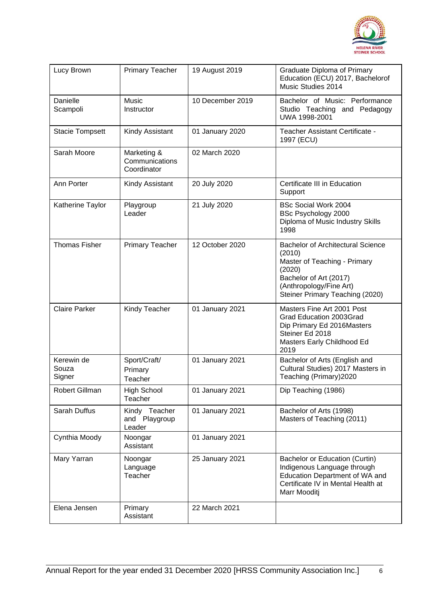

| Lucy Brown                    | <b>Primary Teacher</b>                       | 19 August 2019   | Graduate Diploma of Primary<br>Education (ECU) 2017, Bachelorof<br>Music Studies 2014                                                                                                |
|-------------------------------|----------------------------------------------|------------------|--------------------------------------------------------------------------------------------------------------------------------------------------------------------------------------|
| Danielle<br>Scampoli          | <b>Music</b><br>Instructor                   | 10 December 2019 | Bachelor of Music: Performance<br>Studio Teaching and Pedagogy<br>UWA 1998-2001                                                                                                      |
| <b>Stacie Tompsett</b>        | Kindy Assistant                              | 01 January 2020  | Teacher Assistant Certificate -<br>1997 (ECU)                                                                                                                                        |
| Sarah Moore                   | Marketing &<br>Communications<br>Coordinator | 02 March 2020    |                                                                                                                                                                                      |
| Ann Porter                    | Kindy Assistant                              | 20 July 2020     | Certificate III in Education<br>Support                                                                                                                                              |
| Katherine Taylor              | Playgroup<br>Leader                          | 21 July 2020     | <b>BSc Social Work 2004</b><br>BSc Psychology 2000<br>Diploma of Music Industry Skills<br>1998                                                                                       |
| <b>Thomas Fisher</b>          | <b>Primary Teacher</b>                       | 12 October 2020  | <b>Bachelor of Architectural Science</b><br>(2010)<br>Master of Teaching - Primary<br>(2020)<br>Bachelor of Art (2017)<br>(Anthropology/Fine Art)<br>Steiner Primary Teaching (2020) |
| <b>Claire Parker</b>          | Kindy Teacher                                | 01 January 2021  | Masters Fine Art 2001 Post<br>Grad Education 2003Grad<br>Dip Primary Ed 2016Masters<br>Steiner Ed 2018<br>Masters Early Childhood Ed<br>2019                                         |
| Kerewin de<br>Souza<br>Signer | Sport/Craft/<br>Primary<br>Teacher           | 01 January 2021  | Bachelor of Arts (English and<br>Cultural Studies) 2017 Masters in<br>Teaching (Primary) 2020                                                                                        |
| Robert Gillman                | <b>High School</b><br>Teacher                | 01 January 2021  | Dip Teaching (1986)                                                                                                                                                                  |
| Sarah Duffus                  | Kindy Teacher<br>and Playgroup<br>Leader     | 01 January 2021  | Bachelor of Arts (1998)<br>Masters of Teaching (2011)                                                                                                                                |
| Cynthia Moody                 | Noongar<br>Assistant                         | 01 January 2021  |                                                                                                                                                                                      |
| Mary Yarran                   | Noongar<br>Language<br>Teacher               | 25 January 2021  | Bachelor or Education (Curtin)<br>Indigenous Language through<br>Education Department of WA and<br>Certificate IV in Mental Health at<br>Marr Mooditj                                |
| Elena Jensen                  | Primary<br>Assistant                         | 22 March 2021    |                                                                                                                                                                                      |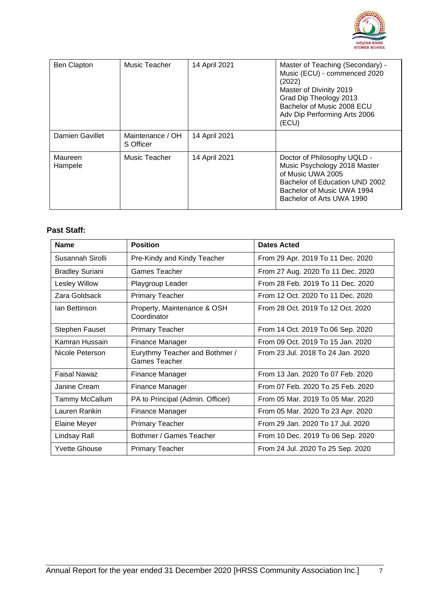

| <b>Ben Clapton</b> | Music Teacher                 | 14 April 2021 | Master of Teaching (Secondary) -<br>Music (ECU) - commenced 2020<br>(2022)<br>Master of Divinity 2019<br>Grad Dip Theology 2013<br>Bachelor of Music 2008 ECU<br>Adv Dip Performing Arts 2006<br>(ECU) |
|--------------------|-------------------------------|---------------|--------------------------------------------------------------------------------------------------------------------------------------------------------------------------------------------------------|
| Damien Gavillet    | Maintenance / OH<br>S Officer | 14 April 2021 |                                                                                                                                                                                                        |
| Maureen<br>Hampele | Music Teacher                 | 14 April 2021 | Doctor of Philosophy UQLD -<br>Music Psychology 2018 Master<br>of Music UWA 2005<br>Bachelor of Education UND 2002<br>Bachelor of Music UWA 1994<br>Bachelor of Arts UWA 1990                          |

#### **Past Staff:**

| <b>Name</b>            | <b>Position</b>                                        | Dates Acted                       |
|------------------------|--------------------------------------------------------|-----------------------------------|
| Susannah Sirolli       | Pre-Kindy and Kindy Teacher                            | From 29 Apr. 2019 To 11 Dec. 2020 |
| <b>Bradley Suriani</b> | Games Teacher                                          | From 27 Aug. 2020 To 11 Dec. 2020 |
| Lesley Willow          | Playgroup Leader                                       | From 28 Feb. 2019 To 11 Dec. 2020 |
| Zara Goldsack          | <b>Primary Teacher</b>                                 | From 12 Oct. 2020 To 11 Dec. 2020 |
| Ian Bettinson          | Property, Maintenance & OSH<br>Coordinator             | From 28 Oct. 2019 To 12 Oct. 2020 |
| <b>Stephen Fauset</b>  | <b>Primary Teacher</b>                                 | From 14 Oct. 2019 To 06 Sep. 2020 |
| Kamran Hussain         | Finance Manager                                        | From 09 Oct. 2019 To 15 Jan. 2020 |
| Nicole Peterson        | Eurythmy Teacher and Bothmer /<br><b>Games Teacher</b> | From 23 Jul. 2018 To 24 Jan. 2020 |
| <b>Faisal Nawaz</b>    | Finance Manager                                        | From 13 Jan. 2020 To 07 Feb. 2020 |
| Janine Cream           | Finance Manager                                        | From 07 Feb. 2020 To 25 Feb. 2020 |
| <b>Tammy McCallum</b>  | PA to Principal (Admin. Officer)                       | From 05 Mar. 2019 To 05 Mar. 2020 |
| Lauren Rankin          | Finance Manager                                        | From 05 Mar. 2020 To 23 Apr. 2020 |
| <b>Elaine Meyer</b>    | <b>Primary Teacher</b>                                 | From 29 Jan. 2020 To 17 Jul. 2020 |
| Lindsay Rall           | Bothmer / Games Teacher                                | From 10 Dec. 2019 To 06 Sep. 2020 |
| <b>Yvette Ghouse</b>   | <b>Primary Teacher</b>                                 | From 24 Jul. 2020 To 25 Sep. 2020 |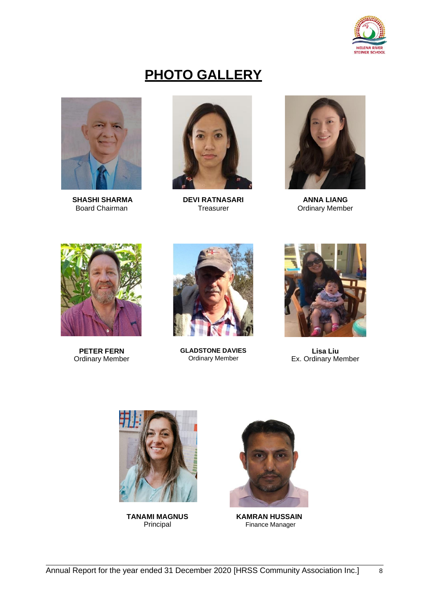

### **PHOTO GALLERY**



**SHASHI SHARMA** Board Chairman



**DEVI RATNASARI Treasurer** 



**ANNA LIANG** Ordinary Member



**PETER FERN** Ordinary Member



**GLADSTONE DAVIES** Ordinary Member



**Lisa Liu** Ex. Ordinary Member



**TANAMI MAGNUS** Principal



**KAMRAN HUSSAIN** Finance Manager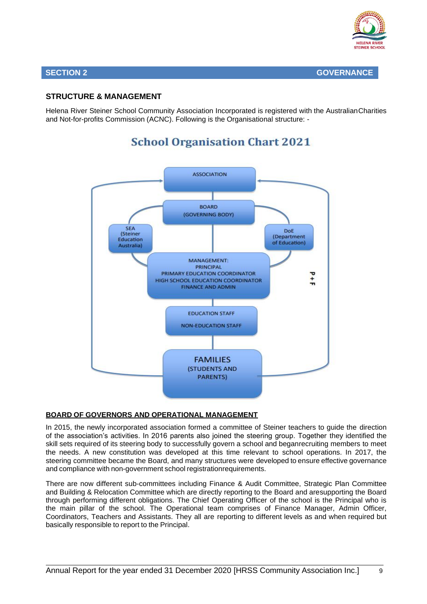

#### **SECTION 2 GOVERNANCE**

#### **STRUCTURE & MANAGEMENT**

Helena River Steiner School Community Association Incorporated is registered with the AustralianCharities and Not-for-profits Commission (ACNC). Following is the Organisational structure: -

#### **ASSOCIATION BOARD** (GOVERNING BODY) **SFA** DoE (Steiner (Department Education of Education) Australia) MANAGEMENT: **PRINCIPAL** PRIMARY EDUCATION COORDINATOR  $\frac{1}{1}$ HIGH SCHOOL EDUCATION COORDINATOR **FINANCE AND ADMIN EDUCATION STAFF NON-EDUCATION STAFF FAMILIES (STUDENTS AND PARENTS)**

### **School Organisation Chart 2021**

#### **BOARD OF GOVERNORS AND OPERATIONAL MANAGEMENT**

In 2015, the newly incorporated association formed a committee of Steiner teachers to guide the direction of the association's activities. In 2016 parents also joined the steering group. Together they identified the skill sets required of its steering body to successfully govern a school and beganrecruiting members to meet the needs. A new constitution was developed at this time relevant to school operations. In 2017, the steering committee became the Board, and many structures were developed to ensure effective governance and compliance with non-government school registrationrequirements.

There are now different sub-committees including Finance & Audit Committee, Strategic Plan Committee and Building & Relocation Committee which are directly reporting to the Board and aresupporting the Board through performing different obligations. The Chief Operating Officer of the school is the Principal who is the main pillar of the school. The Operational team comprises of Finance Manager, Admin Officer, Coordinators, Teachers and Assistants. They all are reporting to different levels as and when required but basically responsible to report to the Principal.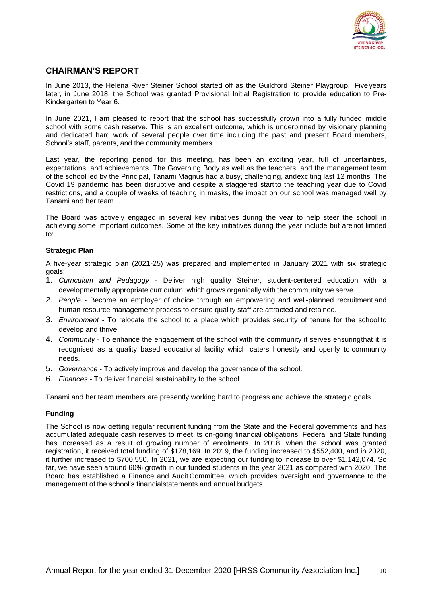

#### **CHAIRMAN'S REPORT**

In June 2013, the Helena River Steiner School started off as the Guildford Steiner Playgroup. Fiveyears later, in June 2018, the School was granted Provisional Initial Registration to provide education to Pre-Kindergarten to Year 6.

In June 2021, I am pleased to report that the school has successfully grown into a fully funded middle school with some cash reserve. This is an excellent outcome, which is underpinned by visionary planning and dedicated hard work of several people over time including the past and present Board members, School's staff, parents, and the community members.

Last year, the reporting period for this meeting, has been an exciting year, full of uncertainties, expectations, and achievements. The Governing Body as well as the teachers, and the management team of the school led by the Principal, Tanami Magnus had a busy, challenging, andexciting last 12 months. The Covid 19 pandemic has been disruptive and despite a staggered start to the teaching year due to Covid restrictions, and a couple of weeks of teaching in masks, the impact on our school was managed well by Tanami and her team.

The Board was actively engaged in several key initiatives during the year to help steer the school in achieving some important outcomes. Some of the key initiatives during the year include but arenot limited to:

#### **Strategic Plan**

A five-year strategic plan (2021-25) was prepared and implemented in January 2021 with six strategic goals:

- 1. *Curriculum and Pedagogy*  Deliver high quality Steiner, student-centered education with a developmentally appropriate curriculum, which grows organically with the community we serve.
- 2. *People* Become an employer of choice through an empowering and well-planned recruitment and human resource management process to ensure quality staff are attracted and retained.
- 3. *Environment* To relocate the school to a place which provides security of tenure for the school to develop and thrive.
- 4. *Community* To enhance the engagement of the school with the community it serves ensuringthat it is recognised as a quality based educational facility which caters honestly and openly to community needs.
- 5. *Governance* To actively improve and develop the governance of the school.
- 6. *Finances* To deliver financial sustainability to the school.

Tanami and her team members are presently working hard to progress and achieve the strategic goals.

#### **Funding**

The School is now getting regular recurrent funding from the State and the Federal governments and has accumulated adequate cash reserves to meet its on-going financial obligations. Federal and State funding has increased as a result of growing number of enrolments. In 2018, when the school was granted registration, it received total funding of \$178,169. In 2019, the funding increased to \$552,400, and in 2020, it further increased to \$700,550. In 2021, we are expecting our funding to increase to over \$1,142,074. So far, we have seen around 60% growth in our funded students in the year 2021 as compared with 2020. The Board has established a Finance and Audit Committee, which provides oversight and governance to the management of the school's financialstatements and annual budgets.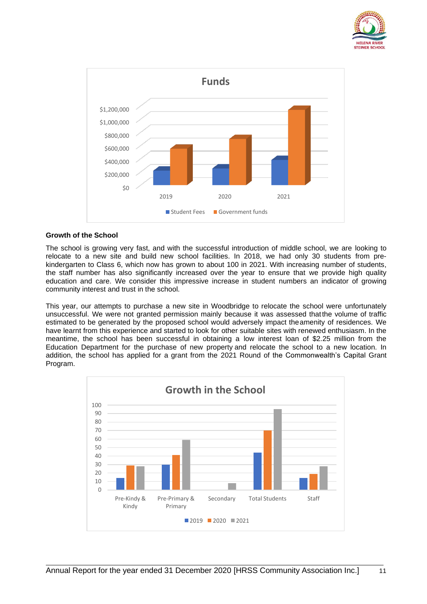



#### **Growth of the School**

The school is growing very fast, and with the successful introduction of middle school, we are looking to relocate to a new site and build new school facilities. In 2018, we had only 30 students from prekindergarten to Class 6, which now has grown to about 100 in 2021. With increasing number of students, the staff number has also significantly increased over the year to ensure that we provide high quality education and care. We consider this impressive increase in student numbers an indicator of growing community interest and trust in the school.

This year, our attempts to purchase a new site in Woodbridge to relocate the school were unfortunately unsuccessful. We were not granted permission mainly because it was assessed thatthe volume of traffic estimated to be generated by the proposed school would adversely impact theamenity of residences. We have learnt from this experience and started to look for other suitable sites with renewed enthusiasm. In the meantime, the school has been successful in obtaining a low interest loan of \$2.25 million from the Education Department for the purchase of new property and relocate the school to a new location. In addition, the school has applied for a grant from the 2021 Round of the Commonwealth's Capital Grant Program.

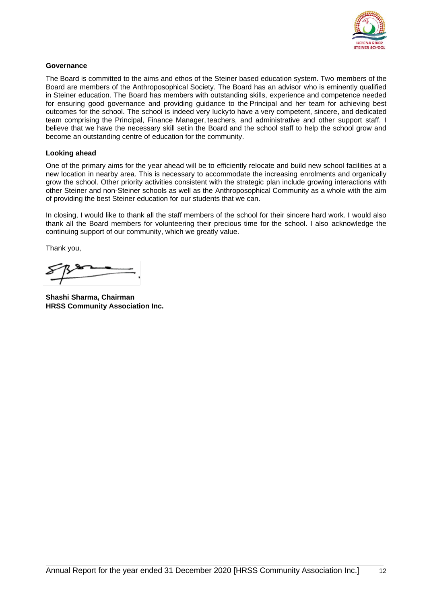

#### **Governance**

The Board is committed to the aims and ethos of the Steiner based education system. Two members of the Board are members of the Anthroposophical Society. The Board has an advisor who is eminently qualified in Steiner education. The Board has members with outstanding skills, experience and competence needed for ensuring good governance and providing guidance to the Principal and her team for achieving best outcomes for the school. The school is indeed very luckyto have a very competent, sincere, and dedicated team comprising the Principal, Finance Manager, teachers, and administrative and other support staff. I believe that we have the necessary skill setin the Board and the school staff to help the school grow and become an outstanding centre of education for the community.

#### **Looking ahead**

One of the primary aims for the year ahead will be to efficiently relocate and build new school facilities at a new location in nearby area. This is necessary to accommodate the increasing enrolments and organically grow the school. Other priority activities consistent with the strategic plan include growing interactions with other Steiner and non-Steiner schools as well as the Anthroposophical Community as a whole with the aim of providing the best Steiner education for our students that we can.

In closing, I would like to thank all the staff members of the school for their sincere hard work. I would also thank all the Board members for volunteering their precious time for the school. I also acknowledge the continuing support of our community, which we greatly value.

Thank you,

**Shashi Sharma, Chairman HRSS Community Association Inc.**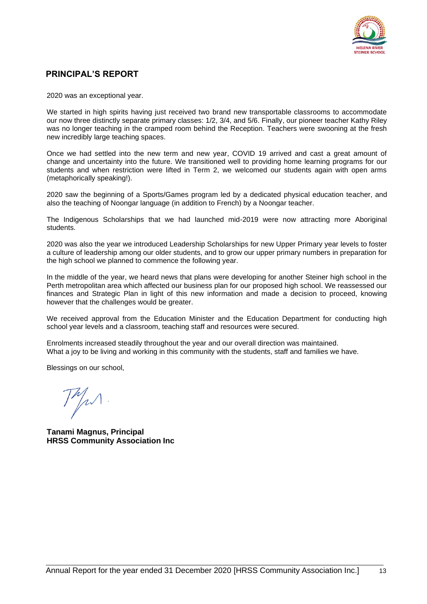

#### **PRINCIPAL'S REPORT**

2020 was an exceptional year.

We started in high spirits having just received two brand new transportable classrooms to accommodate our now three distinctly separate primary classes: 1/2, 3/4, and 5/6. Finally, our pioneer teacher Kathy Riley was no longer teaching in the cramped room behind the Reception. Teachers were swooning at the fresh new incredibly large teaching spaces.

Once we had settled into the new term and new year, COVID 19 arrived and cast a great amount of change and uncertainty into the future. We transitioned well to providing home learning programs for our students and when restriction were lifted in Term 2, we welcomed our students again with open arms (metaphorically speaking!).

2020 saw the beginning of a Sports/Games program led by a dedicated physical education teacher, and also the teaching of Noongar language (in addition to French) by a Noongar teacher.

The Indigenous Scholarships that we had launched mid-2019 were now attracting more Aboriginal students.

2020 was also the year we introduced Leadership Scholarships for new Upper Primary year levels to foster a culture of leadership among our older students, and to grow our upper primary numbers in preparation for the high school we planned to commence the following year.

In the middle of the year, we heard news that plans were developing for another Steiner high school in the Perth metropolitan area which affected our business plan for our proposed high school. We reassessed our finances and Strategic Plan in light of this new information and made a decision to proceed, knowing however that the challenges would be greater.

We received approval from the Education Minister and the Education Department for conducting high school year levels and a classroom, teaching staff and resources were secured.

Enrolments increased steadily throughout the year and our overall direction was maintained. What a joy to be living and working in this community with the students, staff and families we have.

Blessings on our school,

 $7^{\prime\prime}$ 

**Tanami Magnus, Principal HRSS Community Association Inc**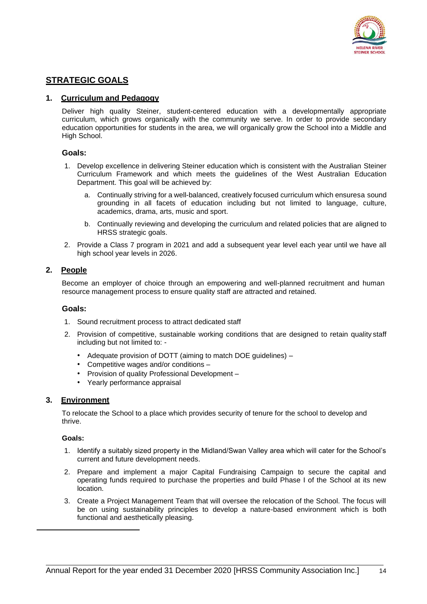

#### **STRATEGIC GOALS**

#### **1. Curriculum and Pedagogy**

Deliver high quality Steiner, student-centered education with a developmentally appropriate curriculum, which grows organically with the community we serve. In order to provide secondary education opportunities for students in the area, we will organically grow the School into a Middle and High School.

#### **Goals:**

- 1. Develop excellence in delivering Steiner education which is consistent with the Australian Steiner Curriculum Framework and which meets the guidelines of the West Australian Education Department. This goal will be achieved by:
	- a. Continually striving for a well-balanced, creatively focused curriculum which ensuresa sound grounding in all facets of education including but not limited to language, culture, academics, drama, arts, music and sport.
	- b. Continually reviewing and developing the curriculum and related policies that are aligned to HRSS strategic goals.
- 2. Provide a Class 7 program in 2021 and add a subsequent year level each year until we have all high school year levels in 2026.

#### **2. People**

Become an employer of choice through an empowering and well-planned recruitment and human resource management process to ensure quality staff are attracted and retained.

#### **Goals:**

- 1. Sound recruitment process to attract dedicated staff
- 2. Provision of competitive, sustainable working conditions that are designed to retain quality staff including but not limited to: -
	- Adequate provision of DOTT (aiming to match DOE guidelines) –
	- Competitive wages and/or conditions –
	- Provision of quality Professional Development –
	- Yearly performance appraisal

#### **3. Environment**

To relocate the School to a place which provides security of tenure for the school to develop and thrive.

#### **Goals:**

- 1. Identify a suitably sized property in the Midland/Swan Valley area which will cater for the School's current and future development needs.
- 2. Prepare and implement a major Capital Fundraising Campaign to secure the capital and operating funds required to purchase the properties and build Phase I of the School at its new location.
- 3. Create a Project Management Team that will oversee the relocation of the School. The focus will be on using sustainability principles to develop a nature-based environment which is both functional and aesthetically pleasing.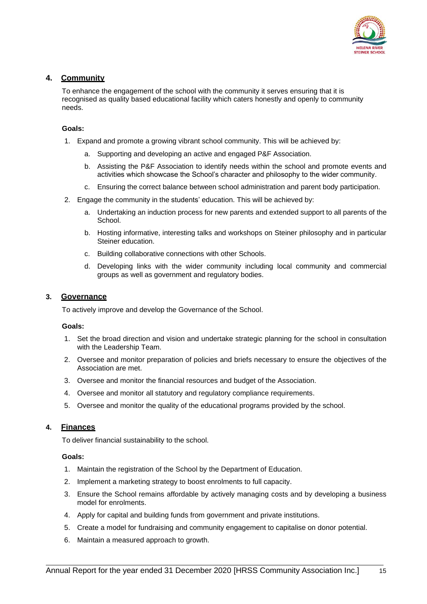

#### **4. Community**

To enhance the engagement of the school with the community it serves ensuring that it is recognised as quality based educational facility which caters honestly and openly to community needs.

#### **Goals:**

- 1. Expand and promote a growing vibrant school community. This will be achieved by:
	- a. Supporting and developing an active and engaged P&F Association.
	- b. Assisting the P&F Association to identify needs within the school and promote events and activities which showcase the School's character and philosophy to the wider community.
	- c. Ensuring the correct balance between school administration and parent body participation.
- 2. Engage the community in the students' education. This will be achieved by:
	- a. Undertaking an induction process for new parents and extended support to all parents of the School.
	- b. Hosting informative, interesting talks and workshops on Steiner philosophy and in particular Steiner education.
	- c. Building collaborative connections with other Schools.
	- d. Developing links with the wider community including local community and commercial groups as well as government and regulatory bodies.

#### **3. Governance**

To actively improve and develop the Governance of the School.

#### **Goals:**

- 1. Set the broad direction and vision and undertake strategic planning for the school in consultation with the Leadership Team.
- 2. Oversee and monitor preparation of policies and briefs necessary to ensure the objectives of the Association are met.
- 3. Oversee and monitor the financial resources and budget of the Association.
- 4. Oversee and monitor all statutory and regulatory compliance requirements.
- 5. Oversee and monitor the quality of the educational programs provided by the school.

#### **4. Finances**

To deliver financial sustainability to the school.

#### **Goals:**

- 1. Maintain the registration of the School by the Department of Education.
- 2. Implement a marketing strategy to boost enrolments to full capacity.
- 3. Ensure the School remains affordable by actively managing costs and by developing a business model for enrolments.
- 4. Apply for capital and building funds from government and private institutions.
- 5. Create a model for fundraising and community engagement to capitalise on donor potential.
- 6. Maintain a measured approach to growth.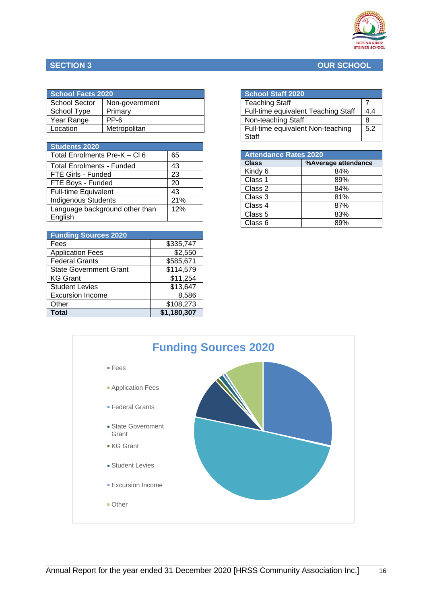

#### **SECTION 3 OUR SCHOOL**

| <b>School Facts 2020</b> |                |  |
|--------------------------|----------------|--|
| <b>School Sector</b>     | Non-government |  |
| School Type              | Primary        |  |
| Year Range               | PP-6           |  |
| Location                 | Metropolitan   |  |

| <b>Students 2020</b>           |     |
|--------------------------------|-----|
| Total Enrolments Pre-K - CI 6  | 65  |
| Total Enrolments - Funded      | 43  |
| FTE Girls - Funded             | 23  |
| FTE Boys - Funded              | 20  |
| <b>Full-time Equivalent</b>    | 43  |
| <b>Indigenous Students</b>     | 21% |
| Language background other than | 12% |
| English                        |     |

| <b>Funding Sources 2020</b>   |             |
|-------------------------------|-------------|
| Fees                          | \$335,747   |
| <b>Application Fees</b>       | \$2,550     |
| <b>Federal Grants</b>         | \$585,671   |
| <b>State Government Grant</b> | \$114,579   |
| <b>KG Grant</b>               | \$11,254    |
| <b>Student Levies</b>         | \$13,647    |
| <b>Excursion Income</b>       | 8,586       |
| Other                         | \$108,273   |
| <b>Total</b>                  | \$1,180,307 |

| <b>School Staff 2020</b>            |     |
|-------------------------------------|-----|
| <b>Teaching Staff</b>               |     |
| Full-time equivalent Teaching Staff | 4.4 |
| Non-teaching Staff                  | я   |
| Full-time equivalent Non-teaching   | 5.2 |
| Staff                               |     |

| <b>Attendance Rates 2020</b> |                     |
|------------------------------|---------------------|
| <b>Class</b>                 | %Average attendance |
| Kindy 6                      | 84%                 |
| Class 1                      | 89%                 |
| Class 2                      | 84%                 |
| Class 3                      | 81%                 |
| Class 4                      | 87%                 |
| Class 5                      | 83%                 |
| Class 6                      | ጸ9%                 |

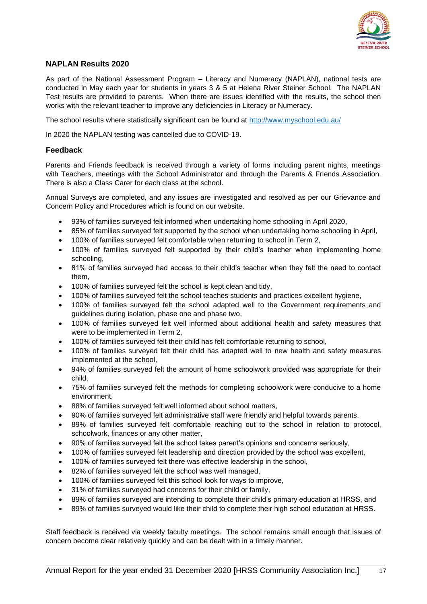

#### **NAPLAN Results 2020**

As part of the National Assessment Program – Literacy and Numeracy (NAPLAN), national tests are conducted in May each year for students in years 3 & 5 at Helena River Steiner School. The NAPLAN Test results are provided to parents. When there are issues identified with the results, the school then works with the relevant teacher to improve any deficiencies in Literacy or Numeracy.

The school results where statistically significant can be found at<http://www.myschool.edu.au/>

In 2020 the NAPLAN testing was cancelled due to COVID-19.

#### **Feedback**

Parents and Friends feedback is received through a variety of forms including parent nights, meetings with Teachers, meetings with the School Administrator and through the Parents & Friends Association. There is also a Class Carer for each class at the school.

Annual Surveys are completed, and any issues are investigated and resolved as per our Grievance and Concern Policy and Procedures which is found on our website.

- 93% of families surveyed felt informed when undertaking home schooling in April 2020,
- 85% of families surveyed felt supported by the school when undertaking home schooling in April,
- 100% of families surveyed felt comfortable when returning to school in Term 2,
- 100% of families surveyed felt supported by their child's teacher when implementing home schooling,
- 81% of families surveyed had access to their child's teacher when they felt the need to contact them,
- 100% of families surveyed felt the school is kept clean and tidy,
- 100% of families surveyed felt the school teaches students and practices excellent hygiene,
- 100% of families surveyed felt the school adapted well to the Government requirements and guidelines during isolation, phase one and phase two,
- 100% of families surveyed felt well informed about additional health and safety measures that were to be implemented in Term 2,
- 100% of families surveyed felt their child has felt comfortable returning to school,
- 100% of families surveyed felt their child has adapted well to new health and safety measures implemented at the school,
- 94% of families surveyed felt the amount of home schoolwork provided was appropriate for their child,
- 75% of families surveyed felt the methods for completing schoolwork were conducive to a home environment,
- 88% of families surveyed felt well informed about school matters,
- 90% of families surveyed felt administrative staff were friendly and helpful towards parents,
- 89% of families surveyed felt comfortable reaching out to the school in relation to protocol, schoolwork, finances or any other matter,
- 90% of families surveyed felt the school takes parent's opinions and concerns seriously,
- 100% of families surveyed felt leadership and direction provided by the school was excellent,
- 100% of families surveyed felt there was effective leadership in the school,
- 82% of families surveyed felt the school was well managed,
- 100% of families surveyed felt this school look for ways to improve,
- 31% of families surveyed had concerns for their child or family,
- 89% of families surveyed are intending to complete their child's primary education at HRSS, and
- 89% of families surveyed would like their child to complete their high school education at HRSS.

Staff feedback is received via weekly faculty meetings. The school remains small enough that issues of concern become clear relatively quickly and can be dealt with in a timely manner.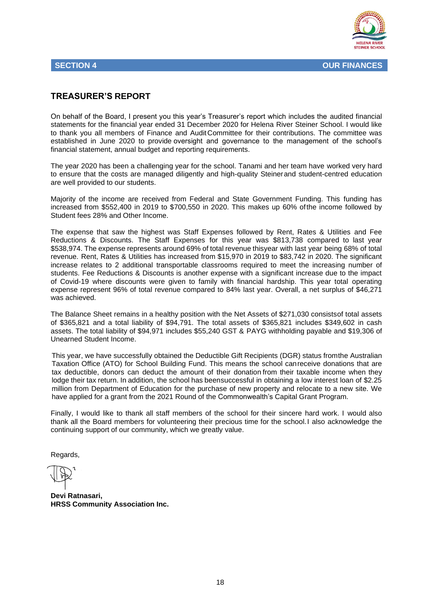

#### **TREASURER'S REPORT**

On behalf of the Board, I present you this year's Treasurer's report which includes the audited financial statements for the financial year ended 31 December 2020 for Helena River Steiner School. I would like to thank you all members of Finance and AuditCommittee for their contributions. The committee was established in June 2020 to provide oversight and governance to the management of the school's financial statement, annual budget and reporting requirements.

The year 2020 has been a challenging year for the school. Tanami and her team have worked very hard to ensure that the costs are managed diligently and high-quality Steinerand student-centred education are well provided to our students.

Majority of the income are received from Federal and State Government Funding. This funding has increased from \$552,400 in 2019 to \$700,550 in 2020. This makes up 60% ofthe income followed by Student fees 28% and Other Income.

The expense that saw the highest was Staff Expenses followed by Rent, Rates & Utilities and Fee Reductions & Discounts. The Staff Expenses for this year was \$813,738 compared to last year \$538,974. The expense represents around 69% of total revenue thisyear with last year being 68% of total revenue. Rent, Rates & Utilities has increased from \$15,970 in 2019 to \$83,742 in 2020. The significant increase relates to 2 additional transportable classrooms required to meet the increasing number of students. Fee Reductions & Discounts is another expense with a significant increase due to the impact of Covid-19 where discounts were given to family with financial hardship. This year total operating expense represent 96% of total revenue compared to 84% last year. Overall, a net surplus of \$46,271 was achieved.

The Balance Sheet remains in a healthy position with the Net Assets of \$271,030 consistsof total assets of \$365,821 and a total liability of \$94,791. The total assets of \$365,821 includes \$349,602 in cash assets. The total liability of \$94,971 includes \$55,240 GST & PAYG withholding payable and \$19,306 of Unearned Student Income.

This year, we have successfully obtained the Deductible Gift Recipients (DGR) status fromthe Australian Taxation Office (ATO) for School Building Fund. This means the school canreceive donations that are tax deductible, donors can deduct the amount of their donation from their taxable income when they lodge their tax return. In addition, the school has beensuccessful in obtaining a low interest loan of \$2.25 million from Department of Education for the purchase of new property and relocate to a new site. We have applied for a grant from the 2021 Round of the Commonwealth's Capital Grant Program.

Finally, I would like to thank all staff members of the school for their sincere hard work. I would also thank all the Board members for volunteering their precious time for the school.I also acknowledge the continuing support of our community, which we greatly value.

Regards,

**Devi Ratnasari, HRSS Community Association Inc.**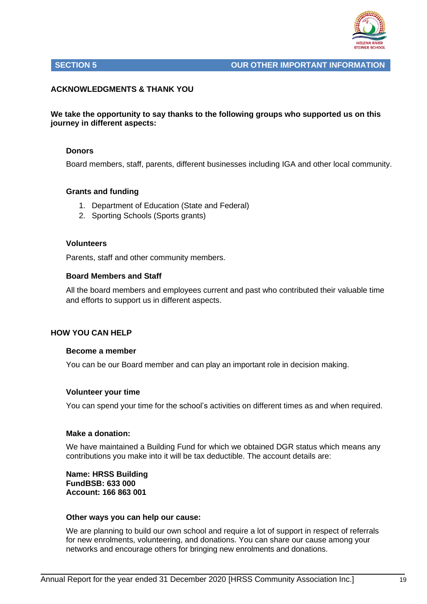

#### **SECTION 5 OUR OTHER IMPORTANT INFORMATION**

#### **ACKNOWLEDGMENTS & THANK YOU**

#### **We take the opportunity to say thanks to the following groups who supported us on this journey in different aspects:**

#### **Donors**

Board members, staff, parents, different businesses including IGA and other local community.

#### **Grants and funding**

- 1. Department of Education (State and Federal)
- 2. Sporting Schools (Sports grants)

#### **Volunteers**

Parents, staff and other community members.

#### **Board Members and Staff**

All the board members and employees current and past who contributed their valuable time and efforts to support us in different aspects.

#### **HOW YOU CAN HELP**

#### **Become a member**

You can be our Board member and can play an important role in decision making.

#### **Volunteer your time**

You can spend your time for the school's activities on different times as and when required.

#### **Make a donation:**

We have maintained a Building Fund for which we obtained DGR status which means any contributions you make into it will be tax deductible. The account details are:

#### **Name: HRSS Building FundBSB: 633 000 Account: 166 863 001**

#### **Other ways you can help our cause:**

We are planning to build our own school and require a lot of support in respect of referrals for new enrolments, volunteering, and donations. You can share our cause among your networks and encourage others for bringing new enrolments and donations.